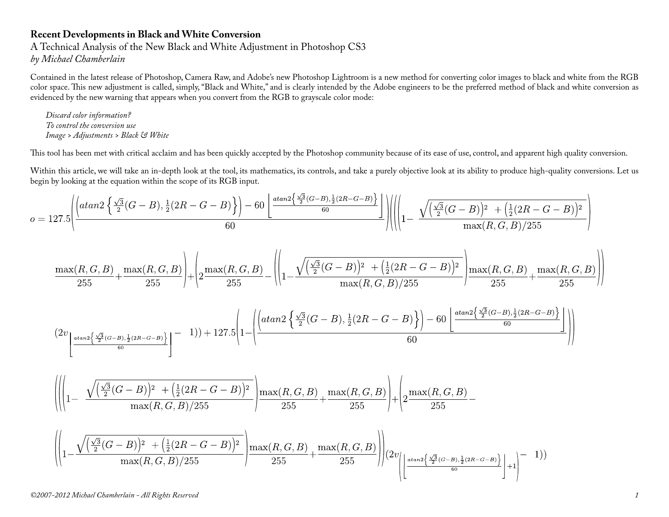## **Recent Developments in Black and White Conversion**

A Technical Analysis of the New Black and White Adjustment in Photoshop CS3 *by Michael Chamberlain*

Contained in the latest release of Photoshop, Camera Raw, and Adobe's new Photoshop Lightroom is a new method for converting color images to black and white from the RGB color space. This new adjustment is called, simply, "Black and White," and is clearly intended by the Adobe engineers to be the preferred method of black and white conversion as evidenced by the new warning that appears when you convert from the RGB to grayscale color mode:

*Discard color information? To control the conversion use Image > Adjustments > Black & White*

This tool has been met with critical acclaim and has been quickly accepted by the Photoshop community because of its ease of use, control, and apparent high quality conversion.

Within this article, we will take an in-depth look at the tool, its mathematics, its controls, and take a purely objective look at its ability to produce high-quality conversions. Let us begin by looking at the equation within the scope of its RGB input.

$$
o = 127.5 \left( \frac{\left( \frac{atan2 \left\{ \frac{\sqrt{3}}{2} (G-B), \frac{1}{2} (2R-G-B) \right\}}{2} \right) - 60 \left( \frac{atan2 \left\{ \frac{\sqrt{3}}{2} (G-B), \frac{1}{2} (2R-G-B) \right\}}{60} \right)}{60} \right) \right) \left( \left( 1 - \frac{\sqrt{\left( \frac{\sqrt{3}}{2} (G-B) \right)^2 + \left( \frac{1}{2} (2R-G-B) \right)^2}{max(R, G, B)/255} + \frac{1}{2} \left( \frac{\sqrt{3}}{2} (G-B) \right)^2}{max(R, G, B)/255} \right) \right)
$$

$$
\frac{\max(R,G,B)}{255} + \frac{\max(R,G,B)}{255}\Bigg) + \left(2\frac{\max(R,G,B)}{255} - \left(\left|1 - \frac{\sqrt{\left(\frac{\sqrt{3}}{2}(G-B)\right)^2 + \left(\frac{1}{2}(2R-G-B)\right)^2}{\max(R,G,B)/255}}\right|\frac{\max(R,G,B)}{255} + \frac{\max(R,G,B)}{255}\right)\right)
$$

$$
(2v_{\left\lfloor \frac{atan2\left\{\frac{\sqrt{3}}{2}(G-B),\frac{1}{2}(2R-G-B)\right\}{60}}{60}\right\rfloor} - 1)) + 127.5\left(1 - \left(\frac{atan2\left\{\frac{\sqrt{3}}{2}(G-B),\frac{1}{2}(2R-G-B)\right\}{1}(2R-G-B)\right\}\right) - 60\left\lfloor \frac{atan2\left\{\frac{\sqrt{3}}{2}(G-B),\frac{1}{2}(2R-G-B)\right\}{60}}{60}\right\rfloor}{60}\right)
$$

$$
\left( \left| \left( 1 - \frac{\sqrt{\left(\frac{\sqrt{3}}{2}(G-B)\right)^2 + \left(\frac{1}{2}(2R-G-B)\right)^2}}{\max(R,G,B)/255} \right) \frac{\max(R,G,B)}{255} + \frac{\max(R,G,B)}{255} \right) + \left( 2 \frac{\max(R,G,B)}{255} - \frac{\max(R,G,B)}{255} \right) \right)
$$

$$
\left( \left| 1 - \frac{\sqrt{\left(\frac{\sqrt{3}}{2}(G-B)\right)^2 + \left(\frac{1}{2}(2R-G-B)\right)^2}}{\max(R, G, B)/255} \right| \frac{\max(R, G, B)}{255} + \frac{\max(R, G, B)}{255} \right) \right) \left( 2v \left( \left| \frac{\frac{4}{2}(G-B), \frac{1}{2}(2R-G-B)}{60} \right| \right) + 1 \right) - 1) \right)
$$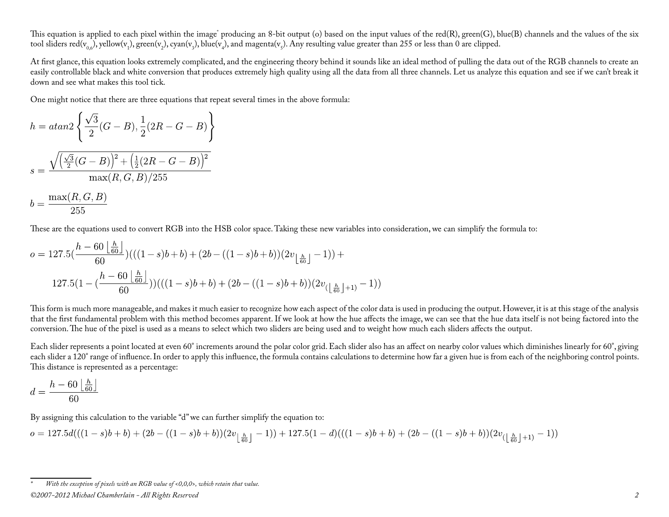This equation is applied to each pixel within the image\* producing an 8-bit output (o) based on the input values of the red(R), green(G), blue(B) channels and the values of the six tool sliders red(v<sub>0,6</sub>), yellow(v<sub>1</sub>), green(v<sub>2</sub>), cyan(v<sub>3</sub>), blue(v<sub>4</sub>), and magenta(v<sub>5</sub>). Any resulting value greater than 255 or less than 0 are clipped.

At first glance, this equation looks extremely complicated, and the engineering theory behind it sounds like an ideal method of pulling the data out of the RGB channels to create an easily controllable black and white conversion that produces extremely high quality using all the data from all three channels. Let us analyze this equation and see if we can't break it down and see what makes this tool tick.

One might notice that there are three equations that repeat several times in the above formula:

$$
h = \operatorname{atan2}\left\{\frac{\sqrt{3}}{2}(G - B), \frac{1}{2}(2R - G - B)\right\}
$$

$$
s = \frac{\sqrt{\left(\frac{\sqrt{3}}{2}(G - B)\right)^2 + \left(\frac{1}{2}(2R - G - B)\right)^2}}{\max(R, G, B)/255}
$$

$$
b = \frac{\max(R, G, B)}{255}
$$

These are the equations used to convert RGB into the HSB color space. Taking these new variables into consideration, we can simplify the formula to:

$$
o = 127.5\left(\frac{h - 60\left\lfloor\frac{h}{60}\right\rfloor}{60}\right) \left((1 - s)b + b\right) + (2b - ((1 - s)b + b))(2v_{\left\lfloor\frac{h}{60}\right\rfloor} - 1)\right) + 127.5\left(1 - \left(\frac{h - 60\left\lfloor\frac{h}{60}\right\rfloor}{60}\right)\right) \left((1 - s)b + b\right) + (2b - ((1 - s)b + b))(2v_{\left\lfloor\frac{h}{60}\right\rfloor + 1)} - 1)
$$

This form is much more manageable, and makes it much easier to recognize how each aspect of the color data is used in producing the output. However, it is at this stage of the analysis that the first fundamental problem with this method becomes apparent. If we look at how the hue affects the image, we can see that the hue data itself is not being factored into the conversion. The hue of the pixel is used as a means to select which two sliders are being used and to weight how much each sliders affects the output.

Each slider represents a point located at even 60° increments around the polar color grid. Each slider also has an affect on nearby color values which diminishes linearly for 60°, giving each slider a 120° range of influence. In order to apply this influence, the formula contains calculations to determine how far a given hue is from each of the neighboring control points. This distance is represented as a percentage:

$$
d = \frac{h - 60 \left\lfloor \frac{h}{60} \right\rfloor}{60}
$$

By assigning this calculation to the variable "d" we can further simplify the equation to:

$$
o = 127.5 d(((1-s)b + b) + (2b - ((1-s)b + b))(2v_{\lfloor \frac{h}{60} \rfloor} - 1)) + 127.5(1-d)((1-s)b + b) + (2b - ((1-s)b + b))(2v_{(\lfloor \frac{h}{60} \rfloor + 1)} - 1))
$$

*<sup>©2007-2012</sup> Michael Chamberlain - All Rights Reserved 2 \* With the exception of pixels with an RGB value of <0,0,0>, which retain that value.*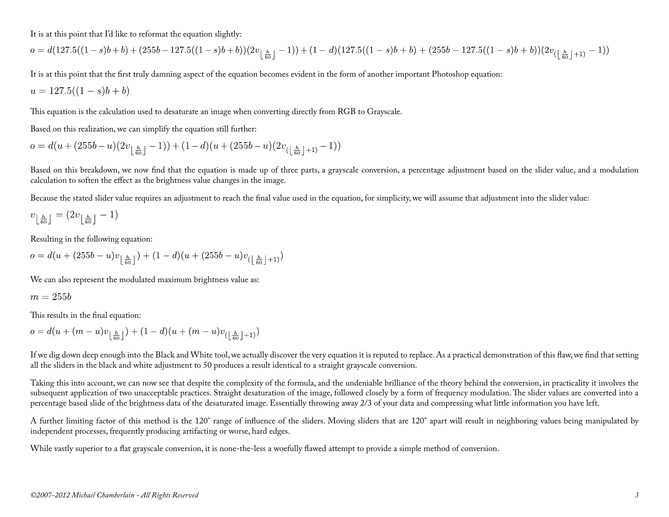It is at this point that I'd like to reformat the equation slightly:

$$
o = d(127.5((1-s)b + b) + (255b - 127.5((1-s)b + b))(2v_{\lfloor \frac{h}{60} \rfloor} - 1)) + (1-d)(127.5((1-s)b + b) + (255b - 127.5((1-s)b + b))(2v_{(\lfloor \frac{h}{60} \rfloor+1)} - 1))
$$

It is at this point that the first truly damning aspect of the equation becomes evident in the form of another important Photoshop equation:

$$
u = 127.5((1 - s)b + b)
$$

This equation is the calculation used to desaturate an image when converting directly from RGB to Grayscale.

Based on this realization, we can simplify the equation still further:

$$
o = d(u + (255b - u)(2v_{\lfloor \frac{h}{60} \rfloor} - 1)) + (1 - d)(u + (255b - u)(2v_{\lfloor \frac{h}{60} \rfloor + 1)} - 1))
$$

Based on this breakdown, we now find that the equation is made up of three parts, a grayscale conversion, a percentage adjustment based on the slider value, and a modulation calculation to soften the effect as the brightness value changes in the image.

Because the stated slider value requires an adjustment to reach the final value used in the equation, for simplicity, we will assume that adjustment into the slider value:

$$
v_{\left\lfloor \frac{h}{60} \right\rfloor} = (2v_{\left\lfloor \frac{h}{60} \right\rfloor} - 1)
$$

Resulting in the following equation:

$$
o = d(u + (255b - u)v_{\lfloor \frac{h}{60} \rfloor}) + (1 - d)(u + (255b - u)v_{\lfloor \frac{h}{60} \rfloor + 1})
$$

We can also represent the modulated maximum brightness value as:

$$
m=255b
$$

This results in the final equation:

 $o = d(u + (m - u)v_{\lfloor \frac{h}{60} \rfloor}) + (1 - d)(u + (m - u)v_{\lfloor \frac{h}{60} \rfloor + 1})$ 

If we dig down deep enough into the Black and White tool, we actually discover the very equation it is reputed to replace. As a practical demonstration of this flaw, we find that setting all the sliders in the black and white adjustment to 50 produces a result identical to a straight grayscale conversion.

Taking this into account, we can now see that despite the complexity of the formula, and the undeniable brilliance of the theory behind the conversion, in practicality it involves the subsequent application of two unacceptable practices. Straight desaturation of the image, followed closely by a form of frequency modulation. The slider values are converted into a percentage based slide of the brightness data of the desaturated image. Essentially throwing away 2/3 of your data and compressing what little information you have left.

A further limiting factor of this method is the 120° range of influence of the sliders. Moving sliders that are 120° apart will result in neighboring values being manipulated by independent processes, frequently producing artifacting or worse, hard edges.

While vastly superior to a flat grayscale conversion, it is none-the-less a woefully flawed attempt to provide a simple method of conversion.